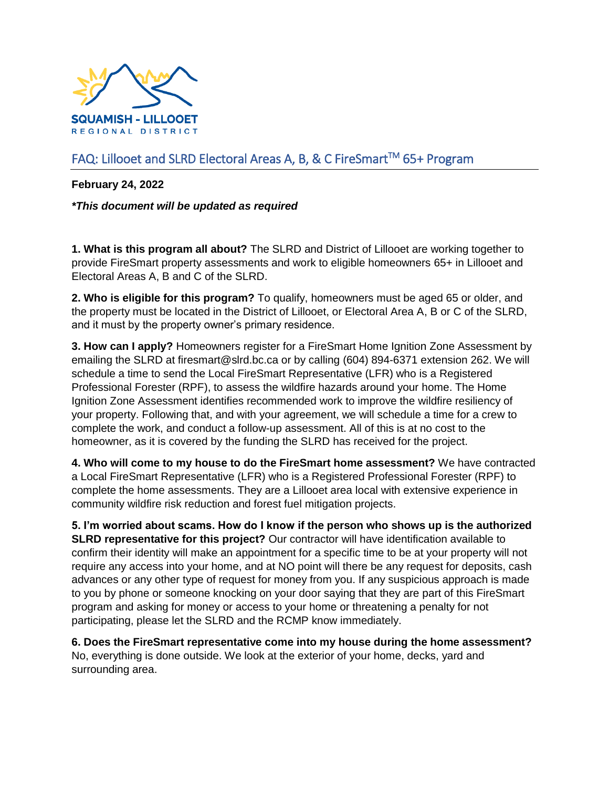

## FAQ: Lillooet and SLRD Electoral Areas A, B, & C FireSmart<sup>™</sup> 65+ Program

**February 24, 2022**

*\*This document will be updated as required*

**1. What is this program all about?** The SLRD and District of Lillooet are working together to provide FireSmart property assessments and work to eligible homeowners 65+ in Lillooet and Electoral Areas A, B and C of the SLRD.

**2. Who is eligible for this program?** To qualify, homeowners must be aged 65 or older, and the property must be located in the District of Lillooet, or Electoral Area A, B or C of the SLRD, and it must by the property owner's primary residence.

**3. How can I apply?** Homeowners register for a FireSmart Home Ignition Zone Assessment by emailing the SLRD at firesmart@slrd.bc.ca or by calling (604) 894-6371 extension 262. We will schedule a time to send the Local FireSmart Representative (LFR) who is a Registered Professional Forester (RPF), to assess the wildfire hazards around your home. The Home Ignition Zone Assessment identifies recommended work to improve the wildfire resiliency of your property. Following that, and with your agreement, we will schedule a time for a crew to complete the work, and conduct a follow-up assessment. All of this is at no cost to the homeowner, as it is covered by the funding the SLRD has received for the project.

**4. Who will come to my house to do the FireSmart home assessment?** We have contracted a Local FireSmart Representative (LFR) who is a Registered Professional Forester (RPF) to complete the home assessments. They are a Lillooet area local with extensive experience in community wildfire risk reduction and forest fuel mitigation projects.

**5. I'm worried about scams. How do I know if the person who shows up is the authorized SLRD representative for this project?** Our contractor will have identification available to confirm their identity will make an appointment for a specific time to be at your property will not require any access into your home, and at NO point will there be any request for deposits, cash advances or any other type of request for money from you. If any suspicious approach is made to you by phone or someone knocking on your door saying that they are part of this FireSmart program and asking for money or access to your home or threatening a penalty for not participating, please let the SLRD and the RCMP know immediately.

**6. Does the FireSmart representative come into my house during the home assessment?**  No, everything is done outside. We look at the exterior of your home, decks, yard and surrounding area.